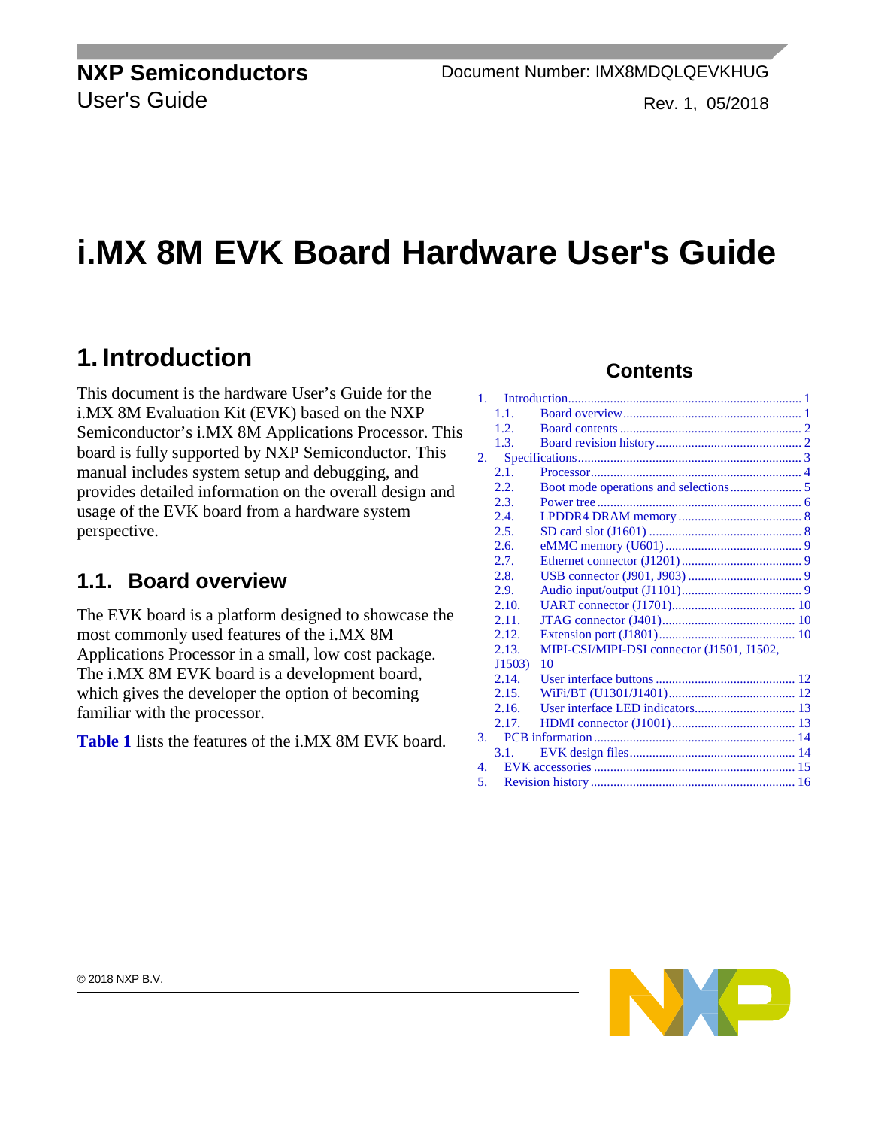**NXP Semiconductors** User's Guide

# **i.MX 8M EVK Board Hardware User's Guide**

## <span id="page-0-0"></span>**1. Introduction**

This document is the hardware User's Guide for the i.MX 8M Evaluation Kit (EVK) based on the NXP Semiconductor's i.MX 8M Applications Processor. This board is fully supported by NXP Semiconductor. This manual includes system setup and debugging, and provides detailed information on the overall design and usage of the EVK board from a hardware system perspective.

### <span id="page-0-1"></span>**1.1. Board overview**

The EVK board is a platform designed to showcase the most commonly used features of the i.MX 8M Applications Processor in a small, low cost package. The i.MX 8M EVK board is a development board, which gives the developer the option of becoming familiar with the processor.

**[Table 1](#page-1-0)** lists the features of the i.MX 8M EVK board.

#### **Contents**

| $\mathbf{1}$ .   |        |                                            |  |  |  |
|------------------|--------|--------------------------------------------|--|--|--|
|                  | 1.1.   |                                            |  |  |  |
|                  | 1.2.   |                                            |  |  |  |
|                  | 1.3.   |                                            |  |  |  |
| 2.               |        |                                            |  |  |  |
|                  | 2.1.   |                                            |  |  |  |
|                  | 2.2.   |                                            |  |  |  |
|                  | 2.3.   |                                            |  |  |  |
|                  | 2.4.   |                                            |  |  |  |
|                  | 2.5.   |                                            |  |  |  |
|                  | 2.6.   |                                            |  |  |  |
|                  | 2.7.   |                                            |  |  |  |
|                  | 2.8.   |                                            |  |  |  |
|                  | 2.9.   |                                            |  |  |  |
|                  | 2.10.  |                                            |  |  |  |
|                  | 2.11.  |                                            |  |  |  |
|                  | 2.12.  |                                            |  |  |  |
|                  | 2.13.  | MIPI-CSI/MIPI-DSI connector (J1501, J1502, |  |  |  |
|                  | J1503) | 10                                         |  |  |  |
|                  | 2.14.  |                                            |  |  |  |
|                  | 2.15.  |                                            |  |  |  |
|                  | 2.16.  |                                            |  |  |  |
|                  | 2.17.  |                                            |  |  |  |
| 3.               |        |                                            |  |  |  |
|                  | 3.1.   |                                            |  |  |  |
| $\overline{4}$ . |        |                                            |  |  |  |
| 5.               |        |                                            |  |  |  |

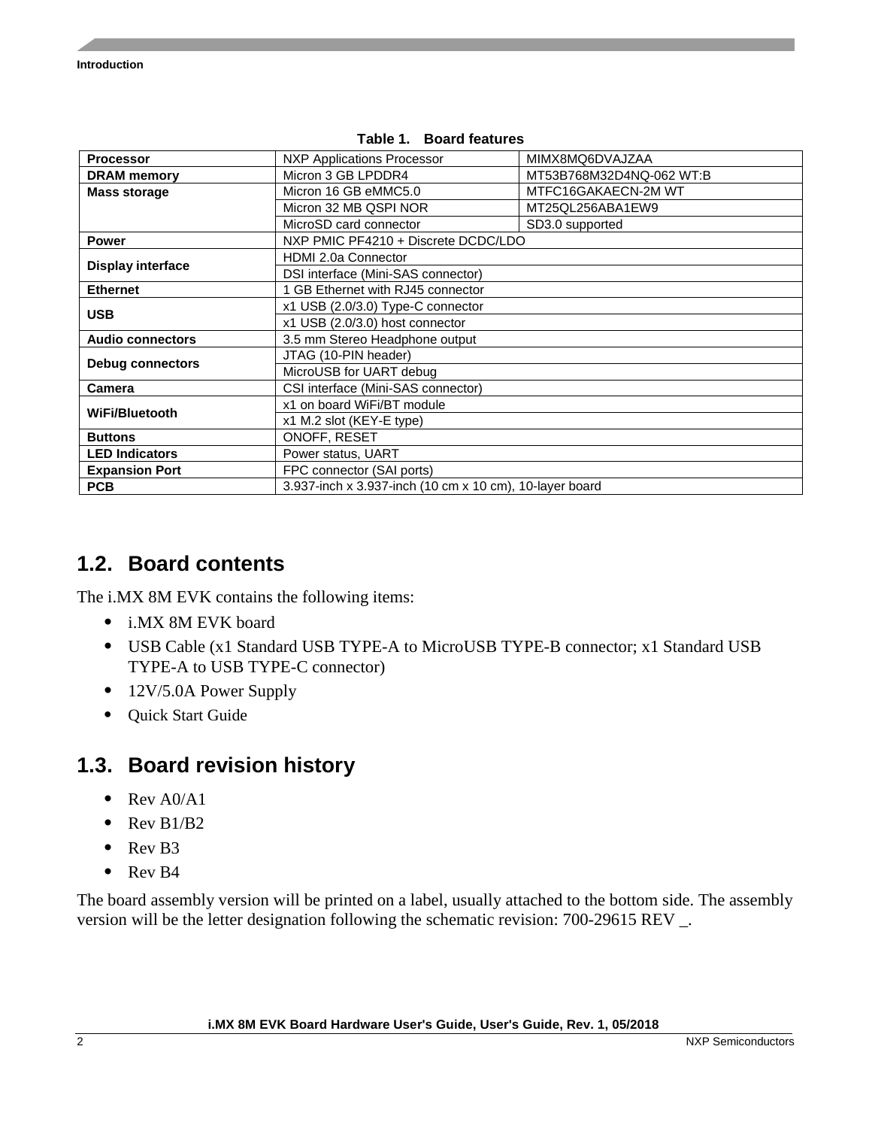<span id="page-1-0"></span>

| <b>Processor</b>         | <b>NXP Applications Processor</b>                       | MIMX8MQ6DVAJZAA          |  |  |
|--------------------------|---------------------------------------------------------|--------------------------|--|--|
| <b>DRAM</b> memory       | Micron 3 GB LPDDR4                                      | MT53B768M32D4NQ-062 WT:B |  |  |
| <b>Mass storage</b>      | Micron 16 GB eMMC5.0                                    | MTFC16GAKAECN-2M WT      |  |  |
|                          | Micron 32 MB QSPI NOR                                   | MT25QL256ABA1EW9         |  |  |
|                          | MicroSD card connector                                  | SD3.0 supported          |  |  |
| <b>Power</b>             | NXP PMIC PF4210 + Discrete DCDC/LDO                     |                          |  |  |
|                          | HDMI 2.0a Connector                                     |                          |  |  |
| <b>Display interface</b> | DSI interface (Mini-SAS connector)                      |                          |  |  |
| <b>Ethernet</b>          | GB Ethernet with RJ45 connector                         |                          |  |  |
| <b>USB</b>               | x1 USB (2.0/3.0) Type-C connector                       |                          |  |  |
|                          | x1 USB (2.0/3.0) host connector                         |                          |  |  |
| <b>Audio connectors</b>  | 3.5 mm Stereo Headphone output                          |                          |  |  |
|                          | JTAG (10-PIN header)                                    |                          |  |  |
| <b>Debug connectors</b>  | MicroUSB for UART debug                                 |                          |  |  |
| Camera                   | CSI interface (Mini-SAS connector)                      |                          |  |  |
| WiFi/Bluetooth           | x1 on board WiFi/BT module                              |                          |  |  |
|                          | x1 M.2 slot (KEY-E type)                                |                          |  |  |
| <b>Buttons</b>           | ONOFF, RESET                                            |                          |  |  |
| <b>LED Indicators</b>    | Power status, UART                                      |                          |  |  |
| <b>Expansion Port</b>    | FPC connector (SAI ports)                               |                          |  |  |
| <b>PCB</b>               | 3.937-inch x 3.937-inch (10 cm x 10 cm), 10-layer board |                          |  |  |

#### **Table 1. Board features**

#### <span id="page-1-1"></span>**1.2. Board contents**

The i.MX 8M EVK contains the following items:

- i.MX 8M EVK board
- USB Cable (x1 Standard USB TYPE-A to MicroUSB TYPE-B connector; x1 Standard USB TYPE-A to USB TYPE-C connector)
- 12V/5.0A Power Supply
- Quick Start Guide

#### <span id="page-1-2"></span>**1.3. Board revision history**

- Rev A0/A1
- Rev B1/B2
- Rev B3
- Rev B4

The board assembly version will be printed on a label, usually attached to the bottom side. The assembly version will be the letter designation following the schematic revision: 700-29615 REV \_.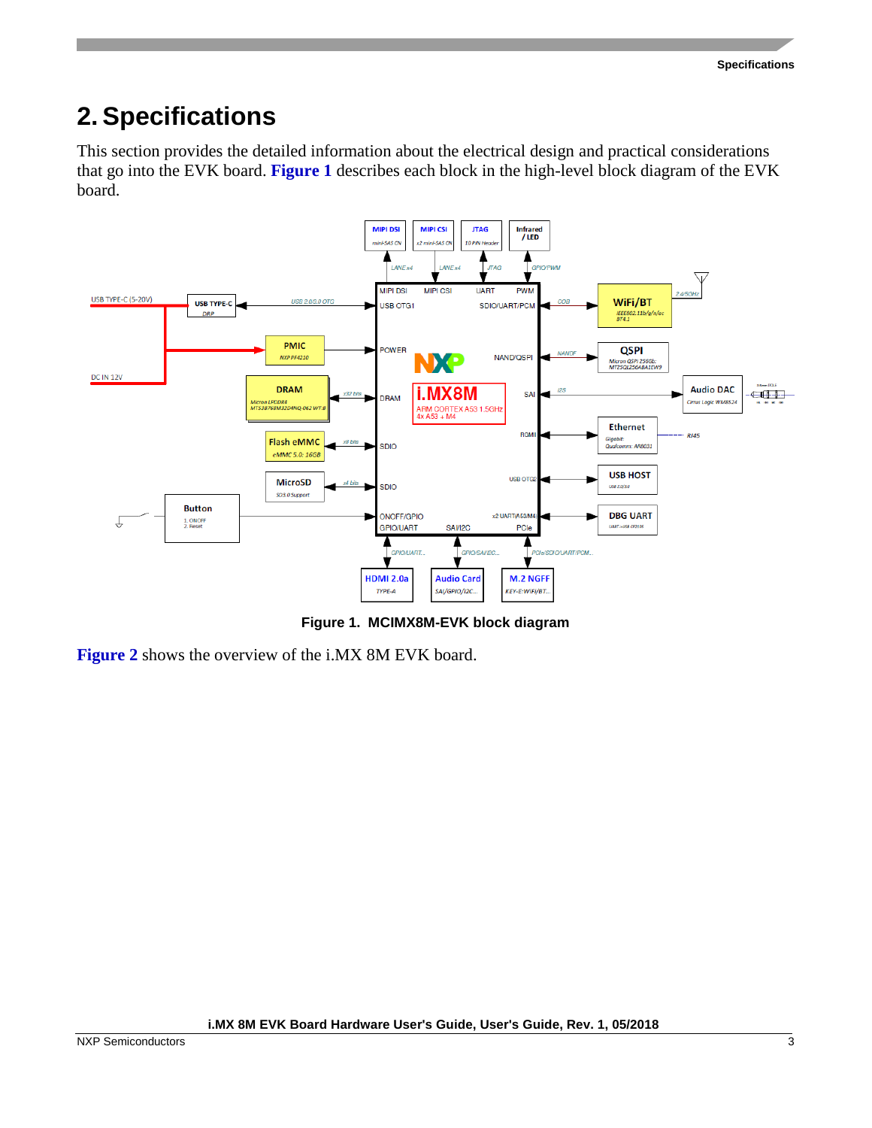# <span id="page-2-0"></span>**2. Specifications**

This section provides the detailed information about the electrical design and practical considerations that go into the EVK board. **[Figure 1](#page-2-1)** describes each block in the high-level block diagram of the EVK board.



**Figure 1. MCIMX8M-EVK block diagram**

<span id="page-2-1"></span>**[Figure 2](#page-3-1)** shows the overview of the i.MX 8M EVK board.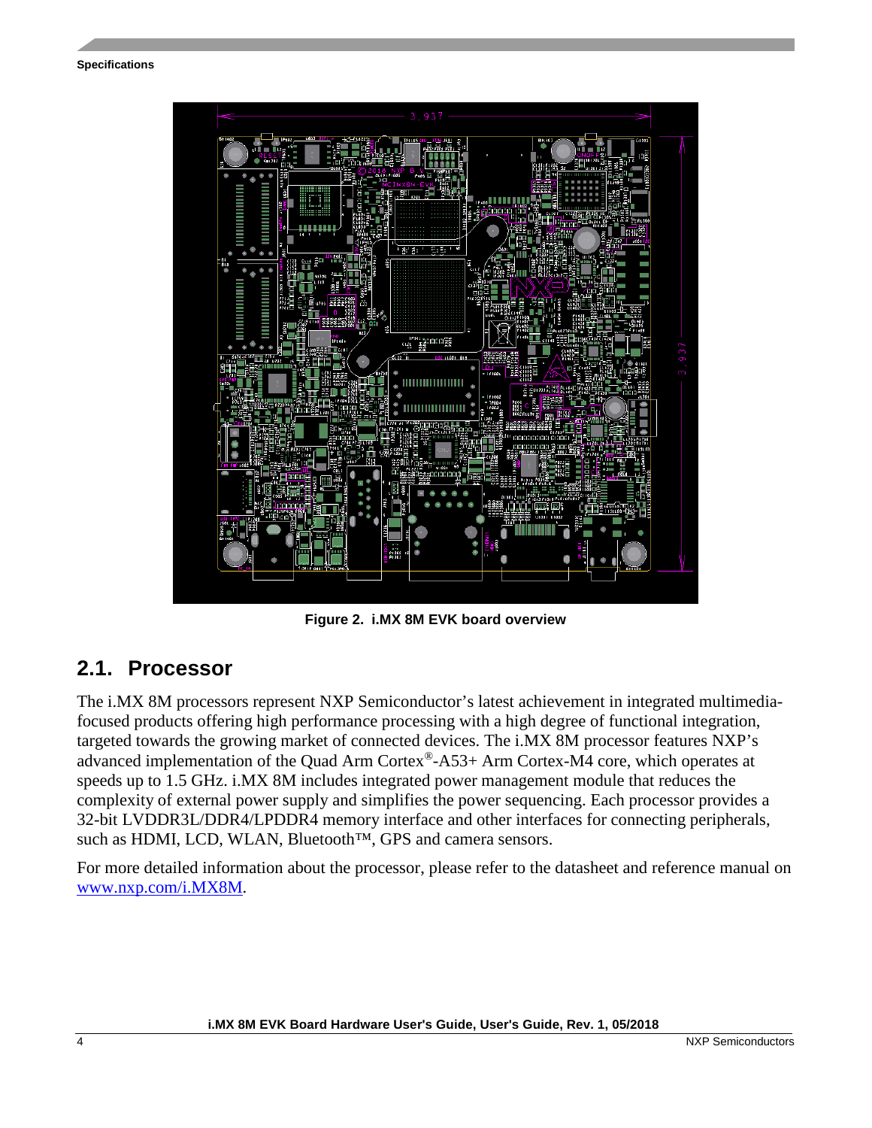**Specifications**



**Figure 2. i.MX 8M EVK board overview**

#### <span id="page-3-1"></span><span id="page-3-0"></span>**2.1. Processor**

The i.MX 8M processors represent NXP Semiconductor's latest achievement in integrated multimediafocused products offering high performance processing with a high degree of functional integration, targeted towards the growing market of connected devices. The i.MX 8M processor features NXP's advanced implementation of the Quad Arm Cortex®-A53+ Arm Cortex-M4 core, which operates at speeds up to 1.5 GHz. i.MX 8M includes integrated power management module that reduces the complexity of external power supply and simplifies the power sequencing. Each processor provides a 32-bit LVDDR3L/DDR4/LPDDR4 memory interface and other interfaces for connecting peripherals, such as HDMI, LCD, WLAN, Bluetooth™, GPS and camera sensors.

For more detailed information about the processor, please refer to the datasheet and reference manual on [www.nxp.com/i.MX8M.](https://www.nxp.com/products/processors-and-microcontrollers/applications-processors/i.mx-applications-processors/i.mx-8-processors/i.mx-8m-family-armcortex-a53-cortex-m4-audio-voice-video:i.MX8M)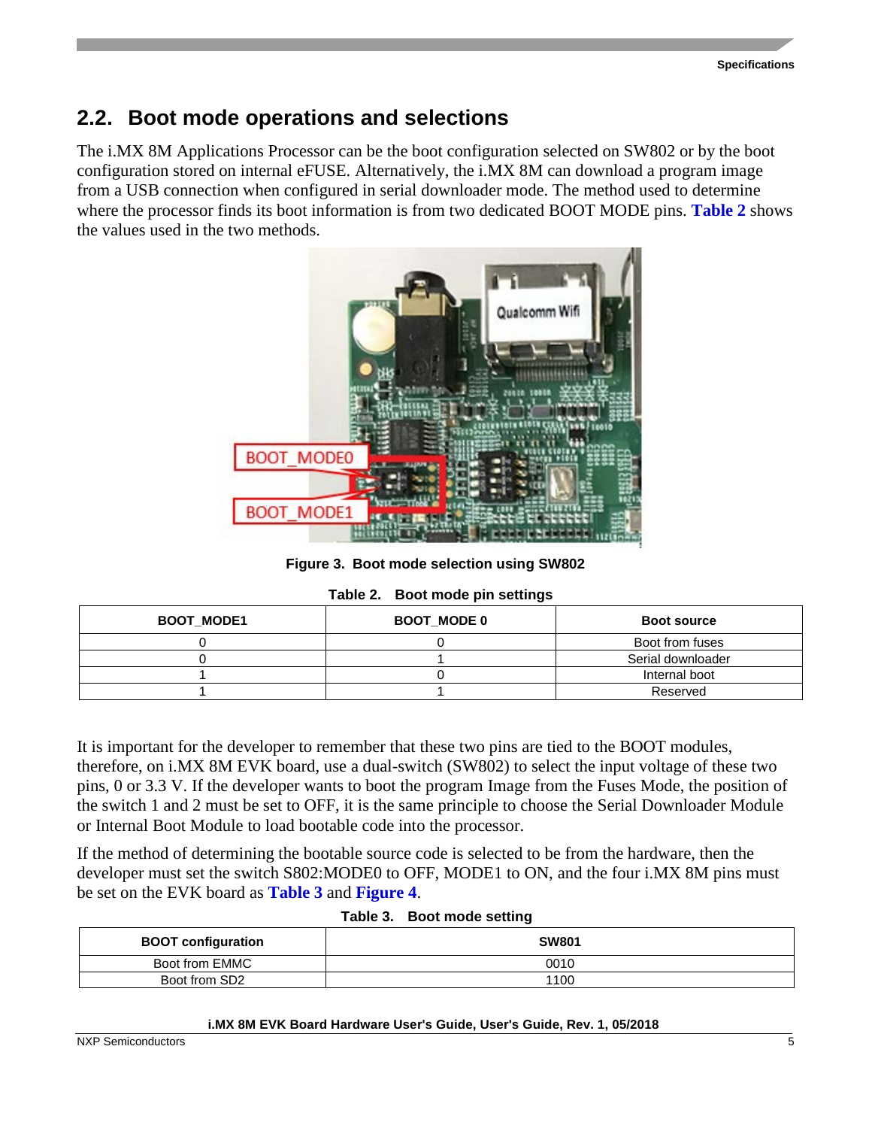#### <span id="page-4-0"></span>**2.2. Boot mode operations and selections**

The i.MX 8M Applications Processor can be the boot configuration selected on SW802 or by the boot configuration stored on internal eFUSE. Alternatively, the i.MX 8M can download a program image from a USB connection when configured in serial downloader mode. The method used to determine where the processor finds its boot information is from two dedicated BOOT MODE pins. **[Table 2](#page-4-1)** shows the values used in the two methods.



**Figure 3. Boot mode selection using SW802**

| Table 2. Boot mode pin settings |  |  |  |  |
|---------------------------------|--|--|--|--|
|---------------------------------|--|--|--|--|

<span id="page-4-1"></span>

| <b>BOOT_MODE1</b> | <b>BOOT MODE 0</b> | <b>Boot source</b> |
|-------------------|--------------------|--------------------|
|                   |                    | Boot from fuses    |
|                   |                    | Serial downloader  |
|                   |                    | Internal boot      |
|                   |                    | Reserved           |

It is important for the developer to remember that these two pins are tied to the BOOT modules, therefore, on i.MX 8M EVK board, use a dual-switch (SW802) to select the input voltage of these two pins, 0 or 3.3 V. If the developer wants to boot the program Image from the Fuses Mode, the position of the switch 1 and 2 must be set to OFF, it is the same principle to choose the Serial Downloader Module or Internal Boot Module to load bootable code into the processor.

If the method of determining the bootable source code is selected to be from the hardware, then the developer must set the switch S802:MODE0 to OFF, MODE1 to ON, and the four i.MX 8M pins must be set on the EVK board as **[Table 3](#page-4-2)** and **[Figure 4](#page-5-1)**.

<span id="page-4-2"></span>

| <b>BOOT configuration</b> | <b>SW801</b> |
|---------------------------|--------------|
| Boot from EMMC            | 0010         |
| Boot from SD2             | 1100         |

#### **Table 3. Boot mode setting**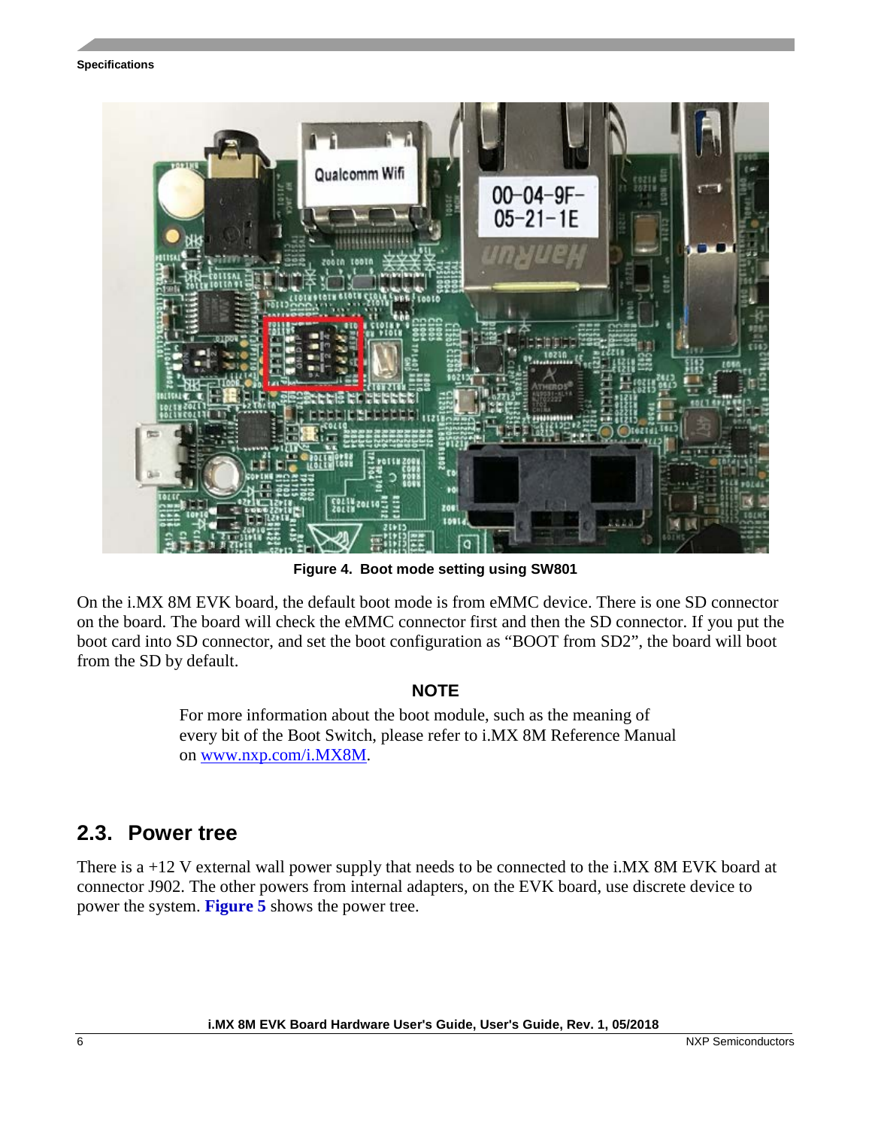#### **Specifications**



**Figure 4. Boot mode setting using SW801**

<span id="page-5-1"></span>On the i.MX 8M EVK board, the default boot mode is from eMMC device. There is one SD connector on the board. The board will check the eMMC connector first and then the SD connector. If you put the boot card into SD connector, and set the boot configuration as "BOOT from SD2", the board will boot from the SD by default.

#### **NOTE**

For more information about the boot module, such as the meaning of every bit of the Boot Switch, please refer to i.MX 8M Reference Manual on [www.nxp.com/i.MX8M.](https://www.nxp.com/products/processors-and-microcontrollers/applications-processors/i.mx-applications-processors/i.mx-8-processors/i.mx-8m-family-armcortex-a53-cortex-m4-audio-voice-video:i.MX8M)

#### <span id="page-5-0"></span>**2.3. Power tree**

There is a +12 V external wall power supply that needs to be connected to the i.MX 8M EVK board at connector J902. The other powers from internal adapters, on the EVK board, use discrete device to power the system. **[Figure 5](#page-6-0)** shows the power tree.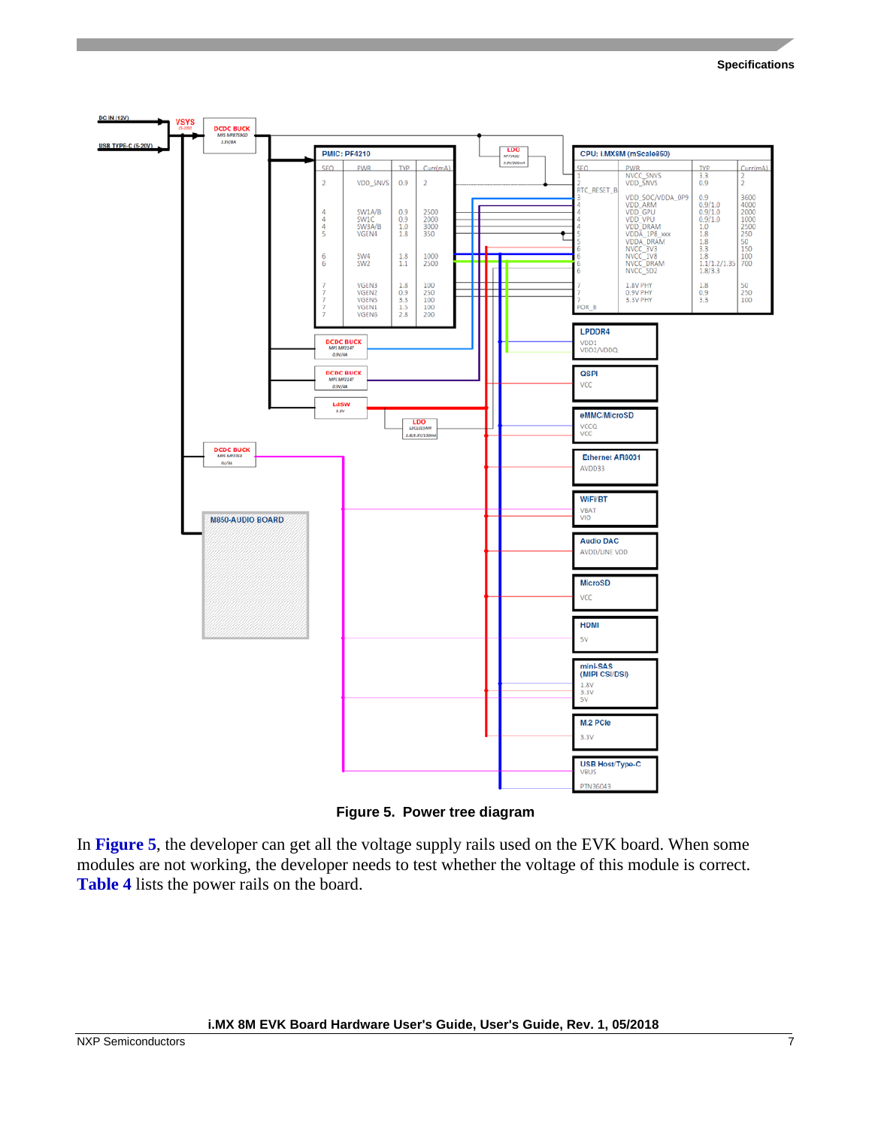#### **Specifications**



**Figure 5. Power tree diagram**

<span id="page-6-0"></span>In **[Figure 5](#page-6-0)**, the developer can get all the voltage supply rails used on the EVK board. When some modules are not working, the developer needs to test whether the voltage of this module is correct. **Table 4** lists the power rails on the board.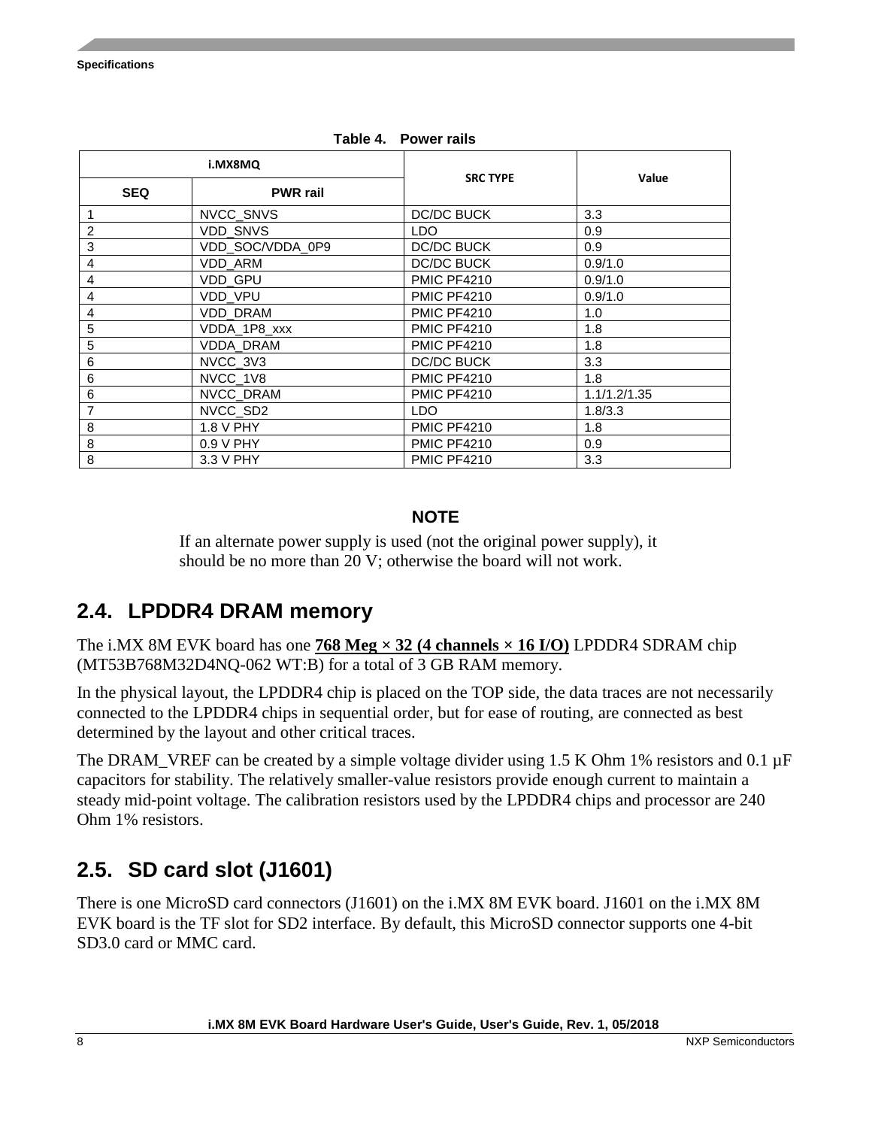<span id="page-7-2"></span>

|                | i.MX8MQ          | <b>SRC TYPE</b>    | Value        |  |
|----------------|------------------|--------------------|--------------|--|
| <b>SEQ</b>     | <b>PWR</b> rail  |                    |              |  |
| 1              | NVCC_SNVS        | <b>DC/DC BUCK</b>  | 3.3          |  |
| $\overline{c}$ | VDD_SNVS         | LDO                | 0.9          |  |
| 3              | VDD_SOC/VDDA_0P9 | <b>DC/DC BUCK</b>  | 0.9          |  |
| 4              | VDD_ARM          | DC/DC BUCK         | 0.9/1.0      |  |
| 4              | VDD_GPU          | <b>PMIC PF4210</b> | 0.9/1.0      |  |
| 4              | <b>VDD VPU</b>   | <b>PMIC PF4210</b> | 0.9/1.0      |  |
| 4              | VDD_DRAM         | <b>PMIC PF4210</b> | 1.0          |  |
| 5              | VDDA_1P8_xxx     | <b>PMIC PF4210</b> | 1.8          |  |
| 5              | VDDA_DRAM        | <b>PMIC PF4210</b> | 1.8          |  |
| 6              | NVCC_3V3         | <b>DC/DC BUCK</b>  | 3.3          |  |
| 6              | NVCC_1V8         | <b>PMIC PF4210</b> | 1.8          |  |
| 6              | NVCC_DRAM        | <b>PMIC PF4210</b> | 1.1/1.2/1.35 |  |
| 7              | NVCC_SD2         | <b>LDO</b>         | 1.8/3.3      |  |
| 8              | 1.8 V PHY        | <b>PMIC PF4210</b> | 1.8          |  |
| 8              | $0.9 V$ PHY      | <b>PMIC PF4210</b> | 0.9          |  |
| 8              | 3.3 V PHY        | <b>PMIC PF4210</b> | 3.3          |  |

**Table 4. Power rails**

#### **NOTE**

If an alternate power supply is used (not the original power supply), it should be no more than 20 V; otherwise the board will not work.

#### <span id="page-7-0"></span>**2.4. LPDDR4 DRAM memory**

The i.MX 8M EVK board has one **768 Meg**  $\times$  **32 (4 channels**  $\times$  **16 I/O)** LPDDR4 SDRAM chip (MT53B768M32D4NQ-062 WT:B) for a total of 3 GB RAM memory.

In the physical layout, the LPDDR4 chip is placed on the TOP side, the data traces are not necessarily connected to the LPDDR4 chips in sequential order, but for ease of routing, are connected as best determined by the layout and other critical traces.

The DRAM VREF can be created by a simple voltage divider using 1.5 K Ohm 1% resistors and 0.1  $\mu$ F capacitors for stability. The relatively smaller-value resistors provide enough current to maintain a steady mid‐point voltage. The calibration resistors used by the LPDDR4 chips and processor are 240 Ohm 1% resistors.

### <span id="page-7-1"></span>**2.5. SD card slot (J1601)**

There is one MicroSD card connectors (J1601) on the i.MX 8M EVK board. J1601 on the i.MX 8M EVK board is the TF slot for SD2 interface. By default, this MicroSD connector supports one 4-bit SD3.0 card or MMC card.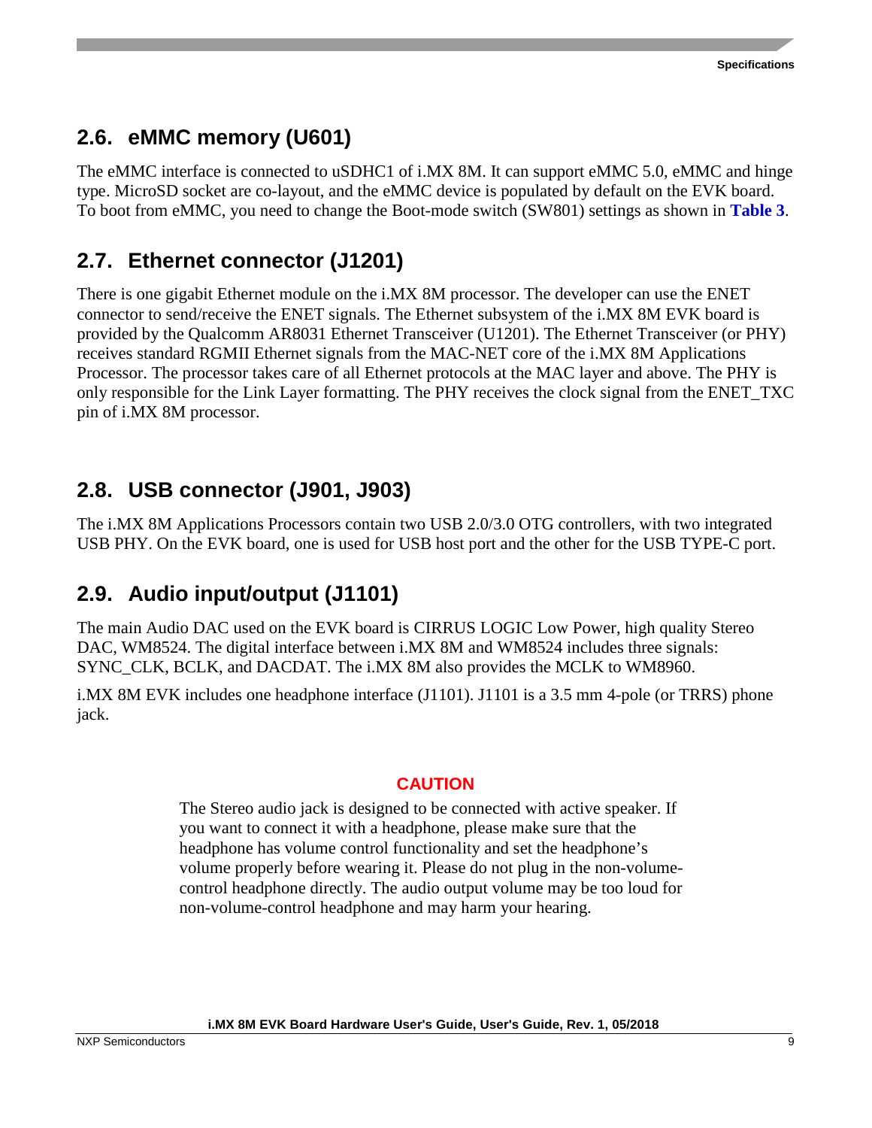### <span id="page-8-0"></span>**2.6. eMMC memory (U601)**

The eMMC interface is connected to uSDHC1 of i.MX 8M. It can support eMMC 5.0, eMMC and hinge type. MicroSD socket are co-layout, and the eMMC device is populated by default on the EVK board. To boot from eMMC, you need to change the Boot-mode switch (SW801) settings as shown in **[Table 3](#page-4-2)**.

### <span id="page-8-1"></span>**2.7. Ethernet connector (J1201)**

There is one gigabit Ethernet module on the i.MX 8M processor. The developer can use the ENET connector to send/receive the ENET signals. The Ethernet subsystem of the i.MX 8M EVK board is provided by the Qualcomm AR8031 Ethernet Transceiver (U1201). The Ethernet Transceiver (or PHY) receives standard RGMII Ethernet signals from the MAC-NET core of the i.MX 8M Applications Processor. The processor takes care of all Ethernet protocols at the MAC layer and above. The PHY is only responsible for the Link Layer formatting. The PHY receives the clock signal from the ENET\_TXC pin of i.MX 8M processor.

### <span id="page-8-2"></span>**2.8. USB connector (J901, J903)**

The i.MX 8M Applications Processors contain two USB 2.0/3.0 OTG controllers, with two integrated USB PHY. On the EVK board, one is used for USB host port and the other for the USB TYPE-C port.

### <span id="page-8-3"></span>**2.9. Audio input/output (J1101)**

The main Audio DAC used on the EVK board is CIRRUS LOGIC Low Power, high quality Stereo DAC, WM8524. The digital interface between i.MX 8M and WM8524 includes three signals: SYNC\_CLK, BCLK, and DACDAT. The i.MX 8M also provides the MCLK to WM8960.

i.MX 8M EVK includes one headphone interface (J1101). J1101 is a 3.5 mm 4-pole (or TRRS) phone jack.

#### **CAUTION**

The Stereo audio jack is designed to be connected with active speaker. If you want to connect it with a headphone, please make sure that the headphone has volume control functionality and set the headphone's volume properly before wearing it. Please do not plug in the non-volumecontrol headphone directly. The audio output volume may be too loud for non-volume-control headphone and may harm your hearing.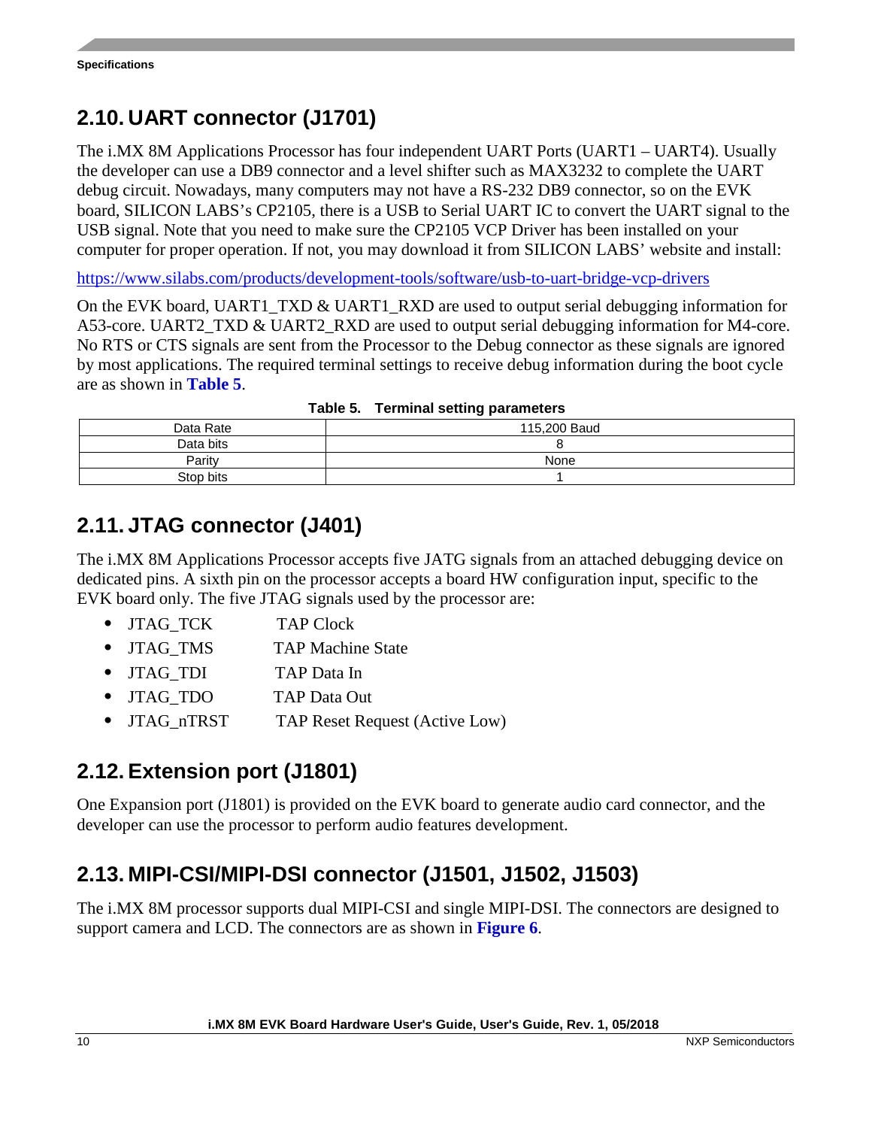### <span id="page-9-0"></span>**2.10. UART connector (J1701)**

The i.MX 8M Applications Processor has four independent UART Ports (UART1 – UART4). Usually the developer can use a DB9 connector and a level shifter such as MAX3232 to complete the UART debug circuit. Nowadays, many computers may not have a RS-232 DB9 connector, so on the EVK board, SILICON LABS's CP2105, there is a USB to Serial UART IC to convert the UART signal to the USB signal. Note that you need to make sure the CP2105 VCP Driver has been installed on your computer for proper operation. If not, you may download it from SILICON LABS' website and install:

<https://www.silabs.com/products/development-tools/software/usb-to-uart-bridge-vcp-drivers>

On the EVK board, UART1\_TXD & UART1\_RXD are used to output serial debugging information for A53-core. UART2\_TXD & UART2\_RXD are used to output serial debugging information for M4-core. No RTS or CTS signals are sent from the Processor to the Debug connector as these signals are ignored by most applications. The required terminal settings to receive debug information during the boot cycle are as shown in **[Table 5](#page-9-4)**.

<span id="page-9-4"></span>

| Data Rate | 115,200 Baud |  |  |
|-----------|--------------|--|--|
| Data bits |              |  |  |
| Parity    | None         |  |  |
| Stop bits |              |  |  |

### <span id="page-9-1"></span>**2.11. JTAG connector (J401)**

The i.MX 8M Applications Processor accepts five JATG signals from an attached debugging device on dedicated pins. A sixth pin on the processor accepts a board HW configuration input, specific to the EVK board only. The five JTAG signals used by the processor are:

- JTAG TCK TAP Clock
- JTAG TMS TAP Machine State
- JTAG\_TDI TAP Data In
- JTAG\_TDO TAP Data Out
- JTAG\_nTRST TAP Reset Request (Active Low)

### <span id="page-9-2"></span>**2.12. Extension port (J1801)**

One Expansion port (J1801) is provided on the EVK board to generate audio card connector, and the developer can use the processor to perform audio features development.

### <span id="page-9-3"></span>**2.13. MIPI-CSI/MIPI-DSI connector (J1501, J1502, J1503)**

The i.MX 8M processor supports dual MIPI-CSI and single MIPI-DSI. The connectors are designed to support camera and LCD. The connectors are as shown in **[Figure 6](#page-10-0)**.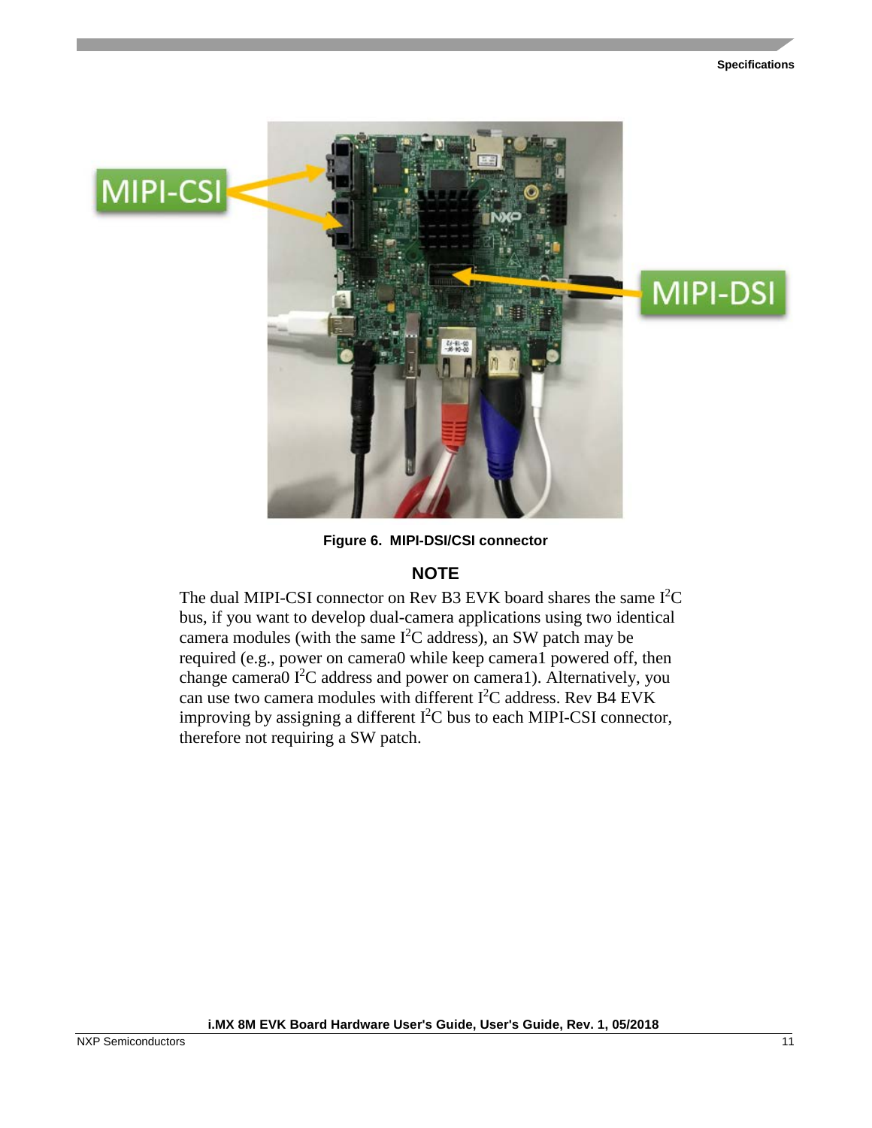

**Figure 6. MIPI-DSI/CSI connector**

#### **NOTE**

<span id="page-10-0"></span>The dual MIPI-CSI connector on Rev B3 EVK board shares the same  $I<sup>2</sup>C$ bus, if you want to develop dual-camera applications using two identical camera modules (with the same  $I<sup>2</sup>C$  address), an SW patch may be required (e.g., power on camera0 while keep camera1 powered off, then change camera0 I<sup>2</sup>C address and power on camera1). Alternatively, you can use two camera modules with different  $I^2C$  address. Rev B4 EVK improving by assigning a different  $I^2C$  bus to each MIPI-CSI connector, therefore not requiring a SW patch.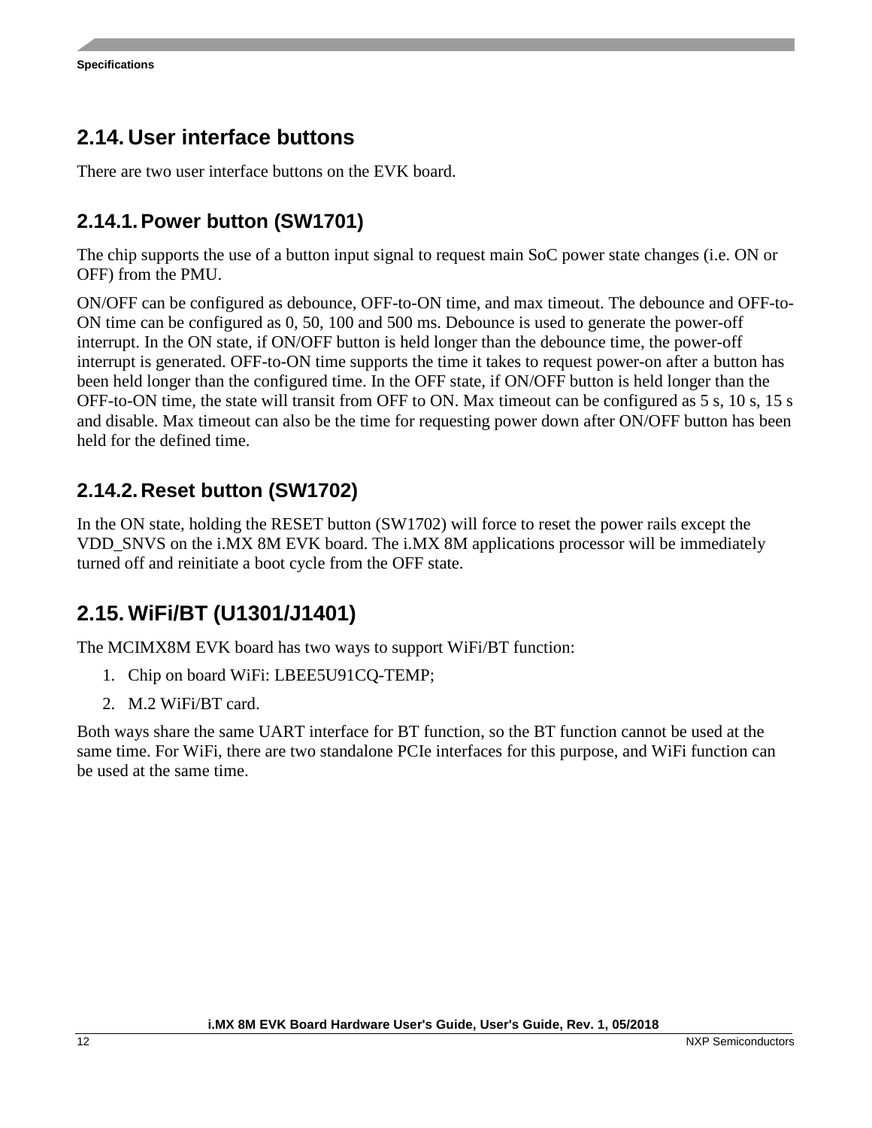### <span id="page-11-0"></span>**2.14. User interface buttons**

There are two user interface buttons on the EVK board.

#### **2.14.1.Power button (SW1701)**

The chip supports the use of a button input signal to request main SoC power state changes (i.e. ON or OFF) from the PMU.

ON/OFF can be configured as debounce, OFF-to-ON time, and max timeout. The debounce and OFF-to-ON time can be configured as 0, 50, 100 and 500 ms. Debounce is used to generate the power-off interrupt. In the ON state, if ON/OFF button is held longer than the debounce time, the power-off interrupt is generated. OFF-to-ON time supports the time it takes to request power-on after a button has been held longer than the configured time. In the OFF state, if ON/OFF button is held longer than the OFF-to-ON time, the state will transit from OFF to ON. Max timeout can be configured as 5 s, 10 s, 15 s and disable. Max timeout can also be the time for requesting power down after ON/OFF button has been held for the defined time.

#### **2.14.2. Reset button (SW1702)**

In the ON state, holding the RESET button (SW1702) will force to reset the power rails except the VDD\_SNVS on the i.MX 8M EVK board. The i.MX 8M applications processor will be immediately turned off and reinitiate a boot cycle from the OFF state.

### <span id="page-11-1"></span>**2.15. WiFi/BT (U1301/J1401)**

The MCIMX8M EVK board has two ways to support WiFi/BT function:

- 1. Chip on board WiFi: LBEE5U91CQ-TEMP;
- 2. M.2 WiFi/BT card.

Both ways share the same UART interface for BT function, so the BT function cannot be used at the same time. For WiFi, there are two standalone PCIe interfaces for this purpose, and WiFi function can be used at the same time.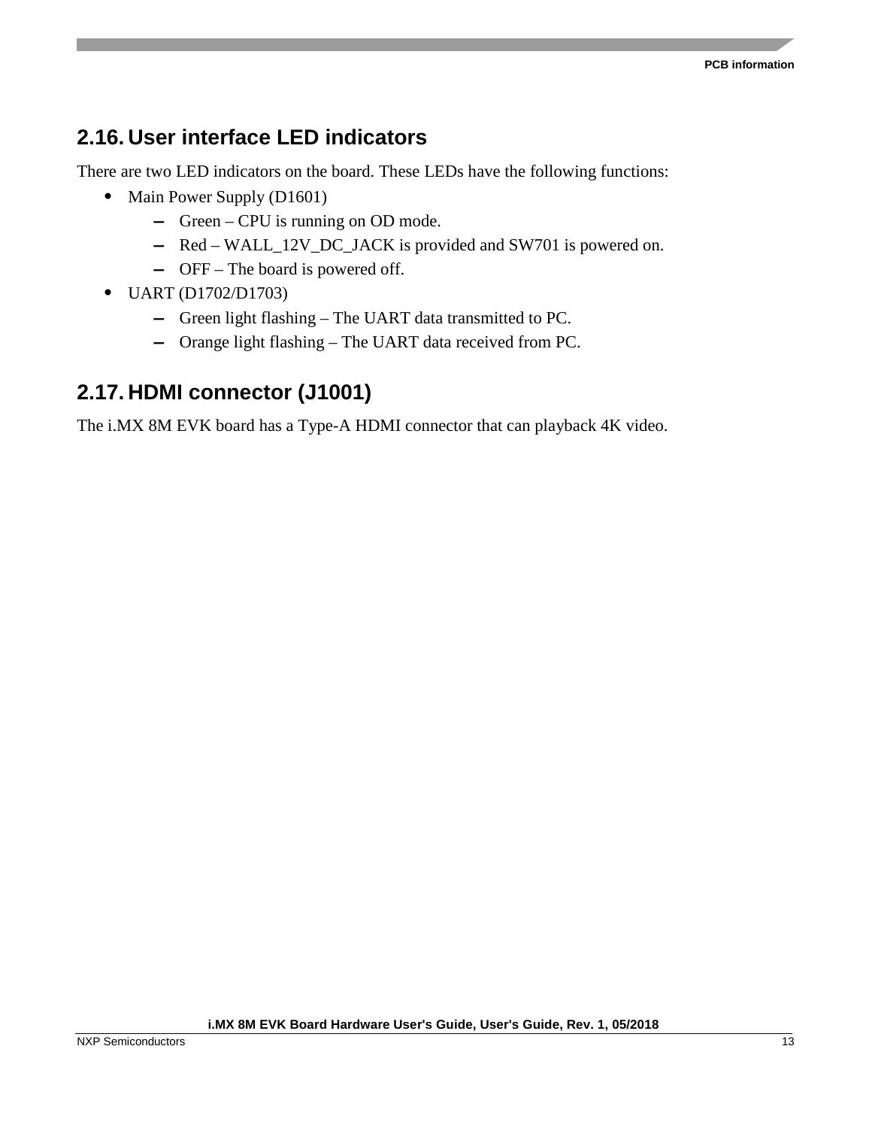### <span id="page-12-0"></span>**2.16. User interface LED indicators**

There are two LED indicators on the board. These LEDs have the following functions:

- Main Power Supply (D1601)
	- **—** Green CPU is running on OD mode.
	- **—** Red WALL\_12V\_DC\_JACK is provided and SW701 is powered on.
	- **—** OFF The board is powered off.
- UART (D1702/D1703)
	- **—** Green light flashing The UART data transmitted to PC.
	- **—** Orange light flashing The UART data received from PC.

### <span id="page-12-1"></span>**2.17. HDMI connector (J1001)**

The i.MX 8M EVK board has a Type-A HDMI connector that can playback 4K video.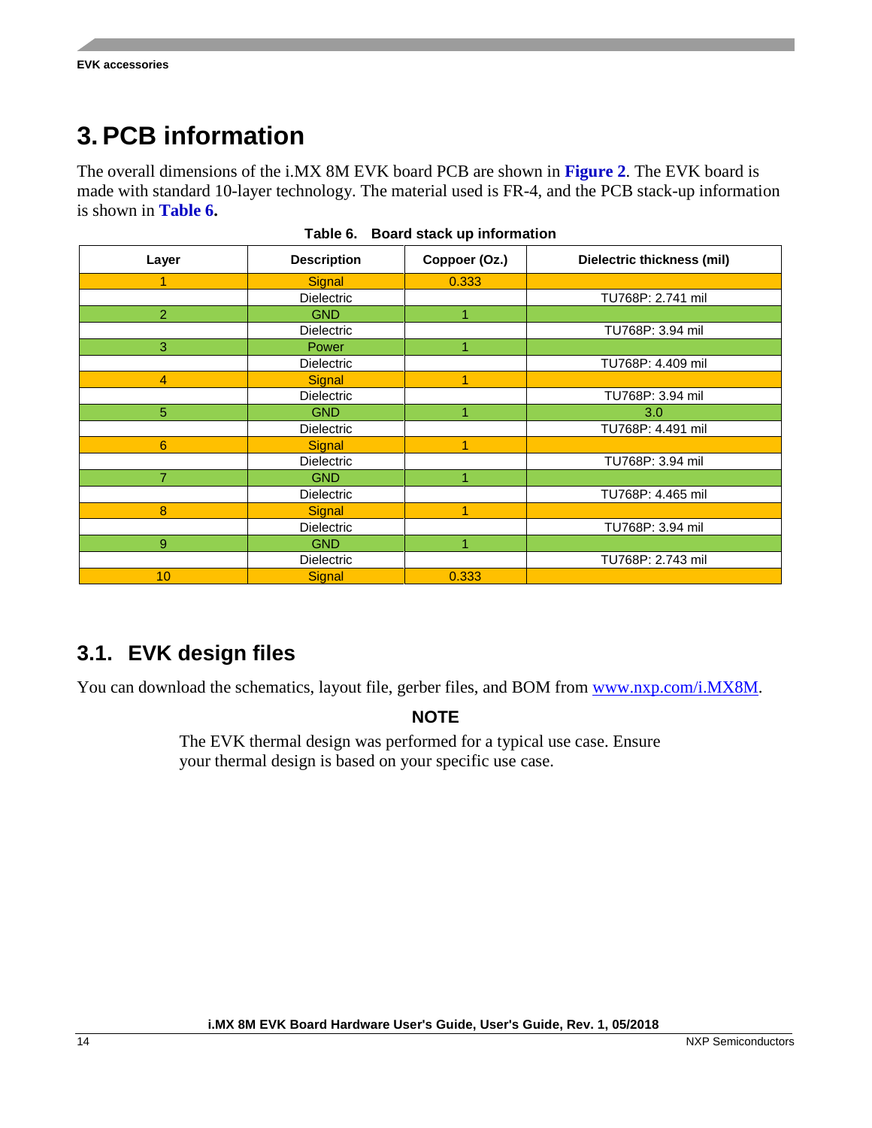# <span id="page-13-0"></span>**3. PCB information**

The overall dimensions of the i.MX 8M EVK board PCB are shown in **[Figure 2](#page-3-1)**. The EVK board is made with standard 10-layer technology. The material used is FR-4, and the PCB stack-up information is shown in **Table 6.**

| rable 6. Board Stack up information |                    |               |                            |  |
|-------------------------------------|--------------------|---------------|----------------------------|--|
| Layer                               | <b>Description</b> | Coppoer (Oz.) | Dielectric thickness (mil) |  |
|                                     | Signal             | 0.333         |                            |  |
|                                     | Dielectric         |               | TU768P: 2.741 mil          |  |
| $\overline{2}$                      | <b>GND</b>         | 1             |                            |  |
|                                     | <b>Dielectric</b>  |               | TU768P: 3.94 mil           |  |
| 3 <sup>°</sup>                      | Power              |               |                            |  |
|                                     | <b>Dielectric</b>  |               | TU768P: 4.409 mil          |  |
| $\overline{4}$                      | <b>Signal</b>      | 1             |                            |  |
|                                     | Dielectric         |               | TU768P: 3.94 mil           |  |
| 5                                   | <b>GND</b>         |               | 3.0                        |  |
|                                     | Dielectric         |               | TU768P: 4.491 mil          |  |
| 6                                   | Signal             | 1             |                            |  |
|                                     | <b>Dielectric</b>  |               | TU768P: 3.94 mil           |  |
| 7                                   | <b>GND</b>         |               |                            |  |
|                                     | <b>Dielectric</b>  |               | TU768P: 4.465 mil          |  |
| 8                                   | Signal             |               |                            |  |
|                                     | Dielectric         |               | TU768P: 3.94 mil           |  |
| 9                                   | <b>GND</b>         |               |                            |  |
|                                     | <b>Dielectric</b>  |               | TU768P: 2.743 mil          |  |
| 10 <sup>°</sup>                     | Signal             | 0.333         |                            |  |

|  |  |  |  | Table 6. Board stack up information |
|--|--|--|--|-------------------------------------|
|--|--|--|--|-------------------------------------|

#### <span id="page-13-1"></span>**3.1. EVK design files**

You can download the schematics, layout file, gerber files, and BOM from [www.nxp.com/i.MX8M.](https://www.nxp.com/products/processors-and-microcontrollers/applications-processors/i.mx-applications-processors/i.mx-8-processors/i.mx-8m-family-armcortex-a53-cortex-m4-audio-voice-video:i.MX8M)

#### **NOTE**

The EVK thermal design was performed for a typical use case. Ensure your thermal design is based on your specific use case.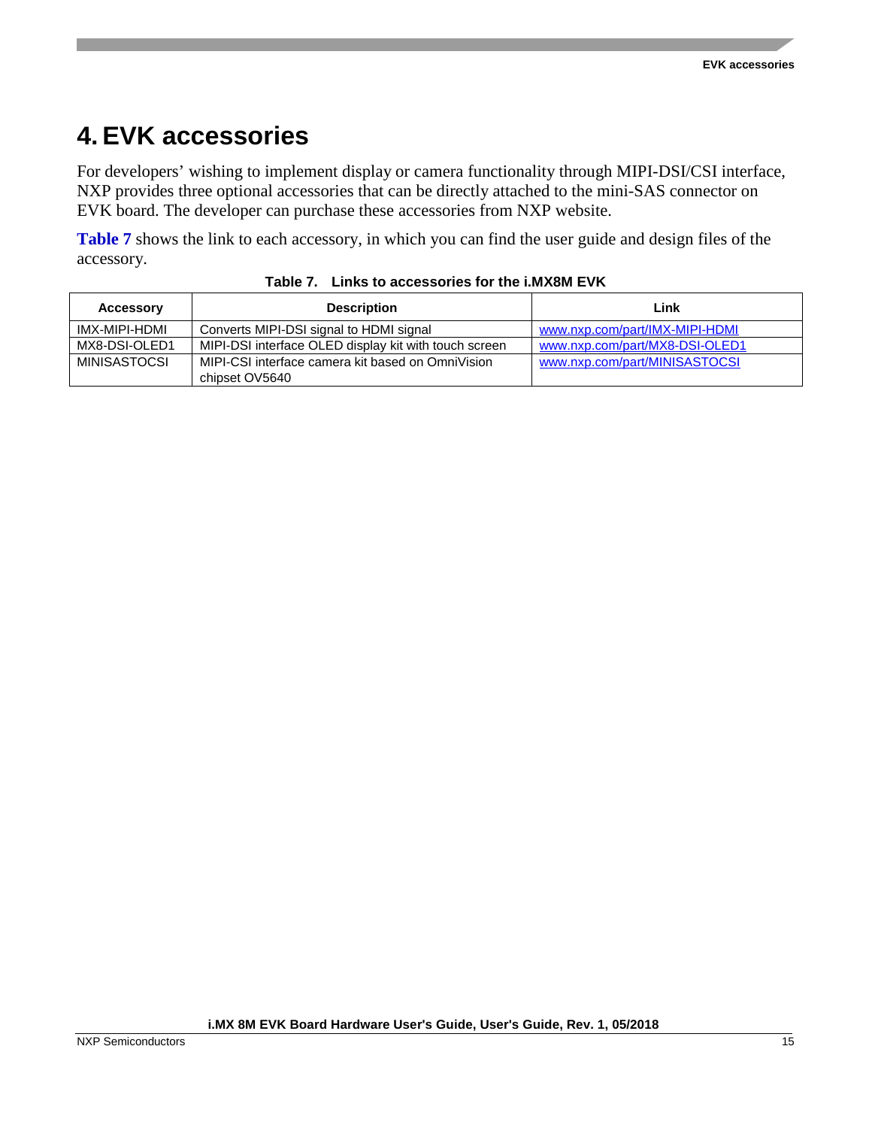# <span id="page-14-0"></span>**4. EVK accessories**

For developers' wishing to implement display or camera functionality through MIPI-DSI/CSI interface, NXP provides three optional accessories that can be directly attached to the mini-SAS connector on EVK board. The developer can purchase these accessories from NXP website.

**[Table 7](#page-14-1)** shows the link to each accessory, in which you can find the user guide and design files of the accessory.

<span id="page-14-1"></span>

| <b>Accessory</b> | <b>Description</b>                                    | Link                           |
|------------------|-------------------------------------------------------|--------------------------------|
| IMX-MIPI-HDMI    | Converts MIPI-DSI signal to HDMI signal               | www.nxp.com/part/IMX-MIPI-HDMI |
| MX8-DSI-OLED1    | MIPI-DSI interface OLED display kit with touch screen | www.nxp.com/part/MX8-DSI-OLED1 |
| MINISASTOCSI     | MIPI-CSI interface camera kit based on OmniVision     | www.nxp.com/part/MINISASTOCSI  |
|                  | chipset OV5640                                        |                                |

**Table 7. Links to accessories for the i.MX8M EVK**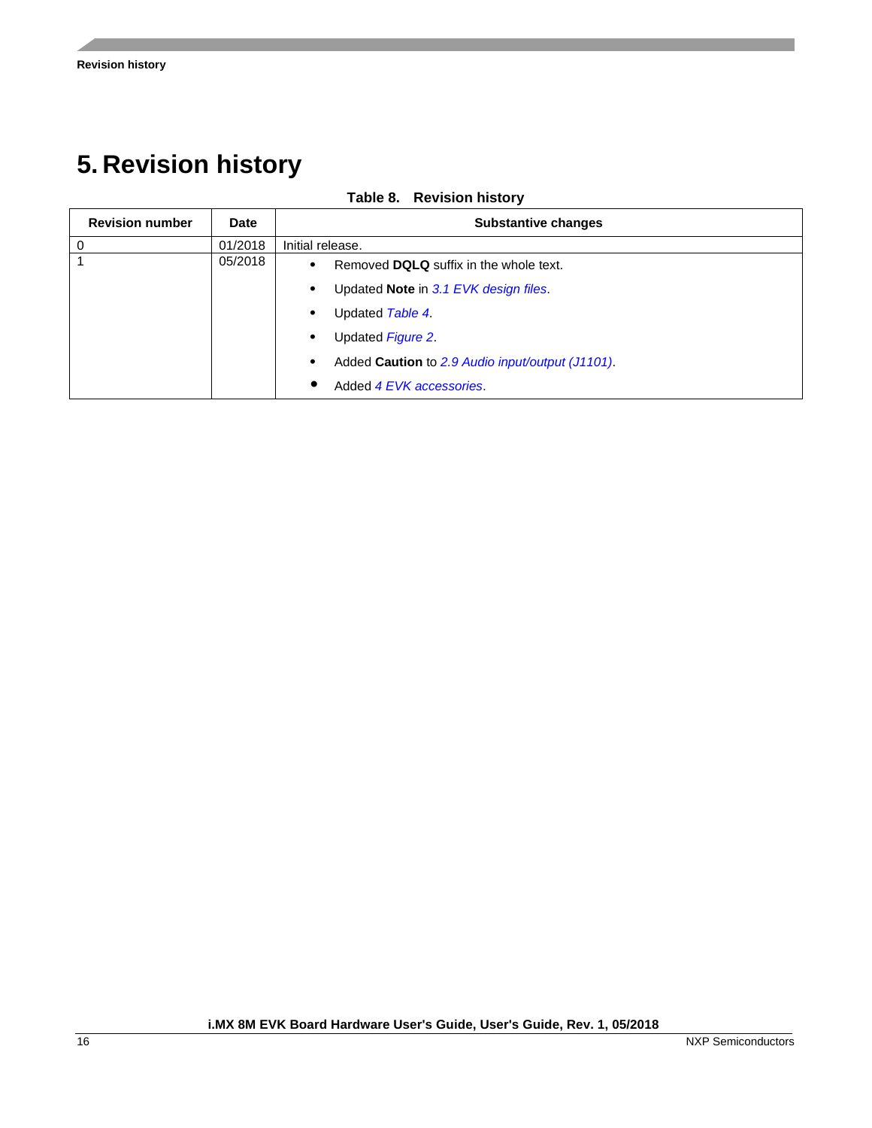# <span id="page-15-0"></span>**5. Revision history**

**Table 8. Revision history**

| <b>Revision number</b> | Date    | <b>Substantive changes</b>                                |
|------------------------|---------|-----------------------------------------------------------|
|                        | 01/2018 | Initial release.                                          |
|                        | 05/2018 | Removed DQLQ suffix in the whole text.<br>$\bullet$       |
|                        |         | Updated <b>Note</b> in 3.1 EVK design files.<br>$\bullet$ |
|                        |         | Updated Table 4.                                          |
|                        |         | Updated Figure 2.                                         |
|                        |         | Added Caution to 2.9 Audio input/output (J1101).          |
|                        |         | Added 4 EVK accessories.                                  |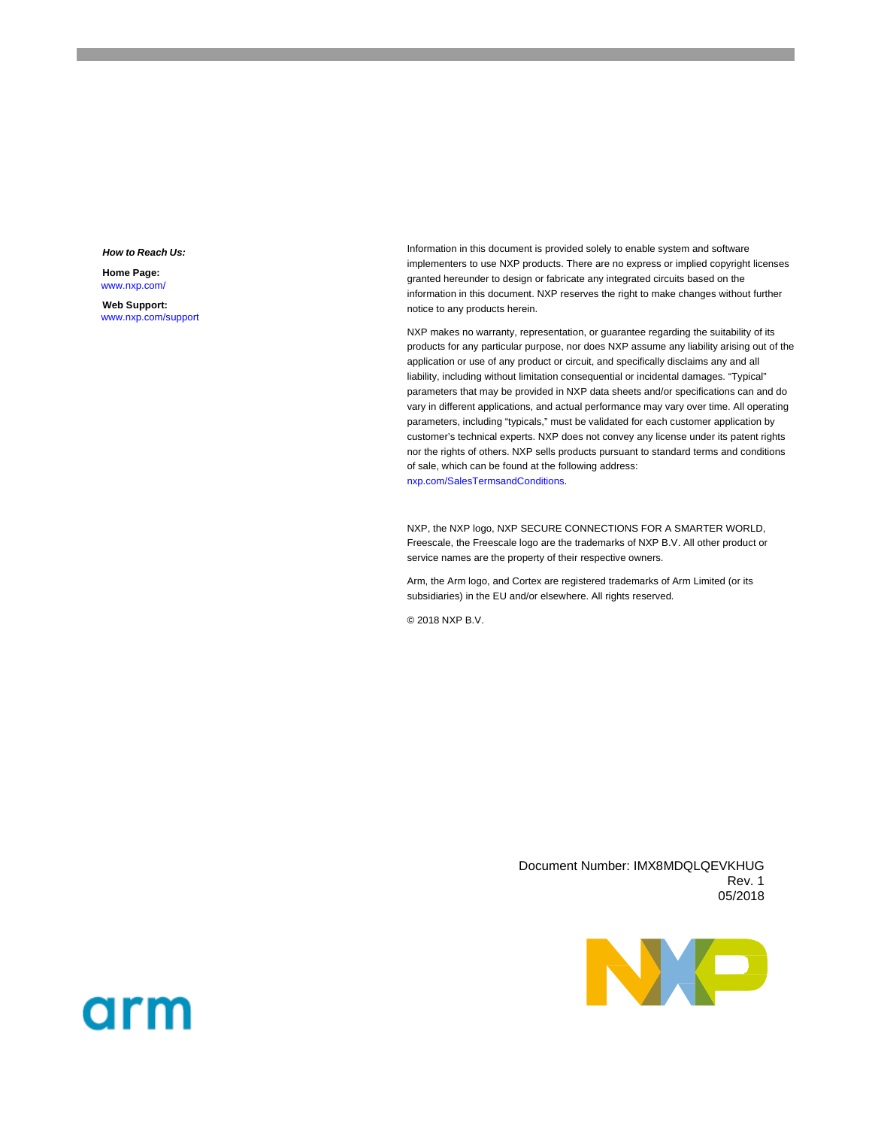#### *How to Reach Us:*

**Home Page:** www.nxp.com/

**Web Support:** ww[w.nxp.com/support](http://www.freescale.com/support) Information in this document is provided solely to enable system and software implementers to use NXP products. There are no express or implied copyright licenses granted hereunder to design or fabricate any integrated circuits based on the information in this document. NXP reserves the right to make changes without further notice to any products herein.

NXP makes no warranty, representation, or guarantee regarding the suitability of its products for any particular purpose, nor does NXP assume any liability arising out of the application or use of any product or circuit, and specifically disclaims any and all liability, including without limitation consequential or incidental damages. "Typical" parameters that may be provided in NXP data sheets and/or specifications can and do vary in different applications, and actual performance may vary over time. All operating parameters, including "typicals," must be validated for each customer application by customer's technical experts. NXP does not convey any license under its patent rights nor the rights of others. NXP sells products pursuant to standard terms and conditions of sale, which can be found at the following address: nx[p.com/SalesTermsandConditions.](http://www.freescale.com/SalesTermsandConditions) 

NXP, the NXP logo, NXP SECURE CONNECTIONS FOR A SMARTER WORLD, Freescale, the Freescale logo are the trademarks of NXP B.V. All other product or service names are the property of their respective owners.

Arm, the Arm logo, and Cortex are registered trademarks of Arm Limited (or its subsidiaries) in the EU and/or elsewhere. All rights reserved.

© 2018 NXP B.V.

Document Number: IMX8MDQLQEVKHUG Rev. 1 05/2018



# arm